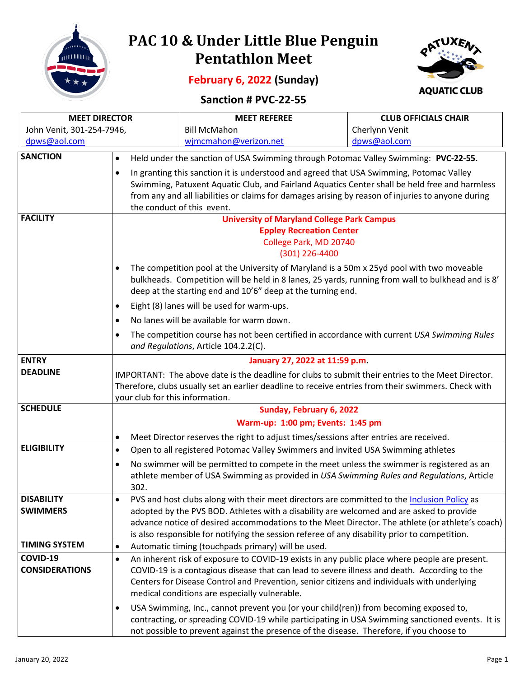

## **PAC 10 & Under Little Blue Penguin Pentathlon Meet**

**February 6, 2022 (Sunday)**



## **Sanction # PVC-22-55**

| <b>MEET DIRECTOR</b>      |                                                                                                                                                                                                            | <b>MEET REFEREE</b>                                                                             | <b>CLUB OFFICIALS CHAIR</b> |  |  |
|---------------------------|------------------------------------------------------------------------------------------------------------------------------------------------------------------------------------------------------------|-------------------------------------------------------------------------------------------------|-----------------------------|--|--|
| John Venit, 301-254-7946, |                                                                                                                                                                                                            | <b>Bill McMahon</b>                                                                             | Cherlynn Venit              |  |  |
| dpws@aol.com              |                                                                                                                                                                                                            | wjmcmahon@verizon.net                                                                           | dpws@aol.com                |  |  |
| <b>SANCTION</b>           | Held under the sanction of USA Swimming through Potomac Valley Swimming: PVC-22-55.<br>$\bullet$<br>In granting this sanction it is understood and agreed that USA Swimming, Potomac Valley<br>$\bullet$   |                                                                                                 |                             |  |  |
|                           |                                                                                                                                                                                                            |                                                                                                 |                             |  |  |
|                           |                                                                                                                                                                                                            | Swimming, Patuxent Aquatic Club, and Fairland Aquatics Center shall be held free and harmless   |                             |  |  |
|                           | from any and all liabilities or claims for damages arising by reason of injuries to anyone during                                                                                                          |                                                                                                 |                             |  |  |
|                           | the conduct of this event.                                                                                                                                                                                 |                                                                                                 |                             |  |  |
| <b>FACILITY</b>           | <b>University of Maryland College Park Campus</b>                                                                                                                                                          |                                                                                                 |                             |  |  |
|                           |                                                                                                                                                                                                            | <b>Eppley Recreation Center</b>                                                                 |                             |  |  |
|                           | College Park, MD 20740<br>(301) 226-4400                                                                                                                                                                   |                                                                                                 |                             |  |  |
|                           | $\bullet$                                                                                                                                                                                                  |                                                                                                 |                             |  |  |
|                           | The competition pool at the University of Maryland is a 50m x 25yd pool with two moveable<br>bulkheads. Competition will be held in 8 lanes, 25 yards, running from wall to bulkhead and is 8'             |                                                                                                 |                             |  |  |
|                           |                                                                                                                                                                                                            | deep at the starting end and 10'6" deep at the turning end.                                     |                             |  |  |
|                           | $\bullet$                                                                                                                                                                                                  | Eight (8) lanes will be used for warm-ups.                                                      |                             |  |  |
|                           | $\bullet$                                                                                                                                                                                                  | No lanes will be available for warm down.                                                       |                             |  |  |
|                           | $\bullet$                                                                                                                                                                                                  | The competition course has not been certified in accordance with current USA Swimming Rules     |                             |  |  |
|                           |                                                                                                                                                                                                            | and Regulations, Article 104.2.2(C).                                                            |                             |  |  |
| <b>ENTRY</b>              | January 27, 2022 at 11:59 p.m.                                                                                                                                                                             |                                                                                                 |                             |  |  |
| <b>DEADLINE</b>           | IMPORTANT: The above date is the deadline for clubs to submit their entries to the Meet Director.                                                                                                          |                                                                                                 |                             |  |  |
|                           | Therefore, clubs usually set an earlier deadline to receive entries from their swimmers. Check with                                                                                                        |                                                                                                 |                             |  |  |
| <b>SCHEDULE</b>           | your club for this information.<br>Sunday, February 6, 2022                                                                                                                                                |                                                                                                 |                             |  |  |
|                           |                                                                                                                                                                                                            | Warm-up: 1:00 pm; Events: 1:45 pm                                                               |                             |  |  |
|                           | $\bullet$                                                                                                                                                                                                  | Meet Director reserves the right to adjust times/sessions after entries are received.           |                             |  |  |
| <b>ELIGIBILITY</b>        | $\bullet$                                                                                                                                                                                                  | Open to all registered Potomac Valley Swimmers and invited USA Swimming athletes                |                             |  |  |
|                           | $\bullet$                                                                                                                                                                                                  | No swimmer will be permitted to compete in the meet unless the swimmer is registered as an      |                             |  |  |
|                           |                                                                                                                                                                                                            | athlete member of USA Swimming as provided in USA Swimming Rules and Regulations, Article       |                             |  |  |
|                           | 302.                                                                                                                                                                                                       |                                                                                                 |                             |  |  |
| <b>DISABILITY</b>         |                                                                                                                                                                                                            | PVS and host clubs along with their meet directors are committed to the Inclusion Policy as     |                             |  |  |
| <b>SWIMMERS</b>           |                                                                                                                                                                                                            | adopted by the PVS BOD. Athletes with a disability are welcomed and are asked to provide        |                             |  |  |
|                           |                                                                                                                                                                                                            | advance notice of desired accommodations to the Meet Director. The athlete (or athlete's coach) |                             |  |  |
| <b>TIMING SYSTEM</b>      | is also responsible for notifying the session referee of any disability prior to competition.                                                                                                              |                                                                                                 |                             |  |  |
| COVID-19                  | Automatic timing (touchpads primary) will be used.<br>$\bullet$                                                                                                                                            |                                                                                                 |                             |  |  |
| <b>CONSIDERATIONS</b>     | An inherent risk of exposure to COVID-19 exists in any public place where people are present.<br>$\bullet$<br>COVID-19 is a contagious disease that can lead to severe illness and death. According to the |                                                                                                 |                             |  |  |
|                           | Centers for Disease Control and Prevention, senior citizens and individuals with underlying                                                                                                                |                                                                                                 |                             |  |  |
|                           |                                                                                                                                                                                                            | medical conditions are especially vulnerable.                                                   |                             |  |  |
|                           | USA Swimming, Inc., cannot prevent you (or your child(ren)) from becoming exposed to,<br>$\bullet$                                                                                                         |                                                                                                 |                             |  |  |
|                           | contracting, or spreading COVID-19 while participating in USA Swimming sanctioned events. It is                                                                                                            |                                                                                                 |                             |  |  |
|                           |                                                                                                                                                                                                            | not possible to prevent against the presence of the disease. Therefore, if you choose to        |                             |  |  |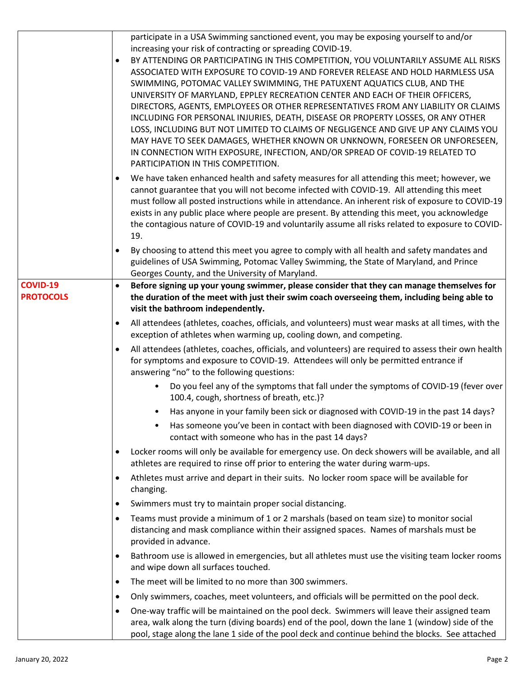|                                     | participate in a USA Swimming sanctioned event, you may be exposing yourself to and/or<br>increasing your risk of contracting or spreading COVID-19.<br>BY ATTENDING OR PARTICIPATING IN THIS COMPETITION, YOU VOLUNTARILY ASSUME ALL RISKS<br>$\bullet$<br>ASSOCIATED WITH EXPOSURE TO COVID-19 AND FOREVER RELEASE AND HOLD HARMLESS USA<br>SWIMMING, POTOMAC VALLEY SWIMMING, THE PATUXENT AQUATICS CLUB, AND THE<br>UNIVERSITY OF MARYLAND, EPPLEY RECREATION CENTER AND EACH OF THEIR OFFICERS,<br>DIRECTORS, AGENTS, EMPLOYEES OR OTHER REPRESENTATIVES FROM ANY LIABILITY OR CLAIMS<br>INCLUDING FOR PERSONAL INJURIES, DEATH, DISEASE OR PROPERTY LOSSES, OR ANY OTHER<br>LOSS, INCLUDING BUT NOT LIMITED TO CLAIMS OF NEGLIGENCE AND GIVE UP ANY CLAIMS YOU<br>MAY HAVE TO SEEK DAMAGES, WHETHER KNOWN OR UNKNOWN, FORESEEN OR UNFORESEEN,<br>IN CONNECTION WITH EXPOSURE, INFECTION, AND/OR SPREAD OF COVID-19 RELATED TO<br>PARTICIPATION IN THIS COMPETITION. |
|-------------------------------------|---------------------------------------------------------------------------------------------------------------------------------------------------------------------------------------------------------------------------------------------------------------------------------------------------------------------------------------------------------------------------------------------------------------------------------------------------------------------------------------------------------------------------------------------------------------------------------------------------------------------------------------------------------------------------------------------------------------------------------------------------------------------------------------------------------------------------------------------------------------------------------------------------------------------------------------------------------------------------|
|                                     | We have taken enhanced health and safety measures for all attending this meet; however, we<br>$\bullet$<br>cannot guarantee that you will not become infected with COVID-19. All attending this meet<br>must follow all posted instructions while in attendance. An inherent risk of exposure to COVID-19<br>exists in any public place where people are present. By attending this meet, you acknowledge<br>the contagious nature of COVID-19 and voluntarily assume all risks related to exposure to COVID-<br>19.                                                                                                                                                                                                                                                                                                                                                                                                                                                      |
|                                     | By choosing to attend this meet you agree to comply with all health and safety mandates and<br>$\bullet$<br>guidelines of USA Swimming, Potomac Valley Swimming, the State of Maryland, and Prince<br>Georges County, and the University of Maryland.                                                                                                                                                                                                                                                                                                                                                                                                                                                                                                                                                                                                                                                                                                                     |
| <b>COVID-19</b><br><b>PROTOCOLS</b> | Before signing up your young swimmer, please consider that they can manage themselves for<br>$\bullet$<br>the duration of the meet with just their swim coach overseeing them, including being able to<br>visit the bathroom independently.                                                                                                                                                                                                                                                                                                                                                                                                                                                                                                                                                                                                                                                                                                                               |
|                                     | All attendees (athletes, coaches, officials, and volunteers) must wear masks at all times, with the<br>exception of athletes when warming up, cooling down, and competing.                                                                                                                                                                                                                                                                                                                                                                                                                                                                                                                                                                                                                                                                                                                                                                                                |
|                                     | All attendees (athletes, coaches, officials, and volunteers) are required to assess their own health<br>for symptoms and exposure to COVID-19. Attendees will only be permitted entrance if<br>answering "no" to the following questions:                                                                                                                                                                                                                                                                                                                                                                                                                                                                                                                                                                                                                                                                                                                                 |
|                                     | Do you feel any of the symptoms that fall under the symptoms of COVID-19 (fever over<br>100.4, cough, shortness of breath, etc.)?                                                                                                                                                                                                                                                                                                                                                                                                                                                                                                                                                                                                                                                                                                                                                                                                                                         |
|                                     | Has anyone in your family been sick or diagnosed with COVID-19 in the past 14 days?                                                                                                                                                                                                                                                                                                                                                                                                                                                                                                                                                                                                                                                                                                                                                                                                                                                                                       |
|                                     | Has someone you've been in contact with been diagnosed with COVID-19 or been in<br>$\bullet$<br>contact with someone who has in the past 14 days?                                                                                                                                                                                                                                                                                                                                                                                                                                                                                                                                                                                                                                                                                                                                                                                                                         |
|                                     | Locker rooms will only be available for emergency use. On deck showers will be available, and all<br>$\bullet$<br>athletes are required to rinse off prior to entering the water during warm-ups.                                                                                                                                                                                                                                                                                                                                                                                                                                                                                                                                                                                                                                                                                                                                                                         |
|                                     | Athletes must arrive and depart in their suits. No locker room space will be available for<br>$\bullet$<br>changing.                                                                                                                                                                                                                                                                                                                                                                                                                                                                                                                                                                                                                                                                                                                                                                                                                                                      |
|                                     | Swimmers must try to maintain proper social distancing.<br>$\bullet$                                                                                                                                                                                                                                                                                                                                                                                                                                                                                                                                                                                                                                                                                                                                                                                                                                                                                                      |
|                                     | Teams must provide a minimum of 1 or 2 marshals (based on team size) to monitor social<br>$\bullet$<br>distancing and mask compliance within their assigned spaces. Names of marshals must be<br>provided in advance.                                                                                                                                                                                                                                                                                                                                                                                                                                                                                                                                                                                                                                                                                                                                                     |
|                                     | Bathroom use is allowed in emergencies, but all athletes must use the visiting team locker rooms<br>$\bullet$<br>and wipe down all surfaces touched.                                                                                                                                                                                                                                                                                                                                                                                                                                                                                                                                                                                                                                                                                                                                                                                                                      |
|                                     | The meet will be limited to no more than 300 swimmers.<br>$\bullet$                                                                                                                                                                                                                                                                                                                                                                                                                                                                                                                                                                                                                                                                                                                                                                                                                                                                                                       |
|                                     | Only swimmers, coaches, meet volunteers, and officials will be permitted on the pool deck.<br>$\bullet$                                                                                                                                                                                                                                                                                                                                                                                                                                                                                                                                                                                                                                                                                                                                                                                                                                                                   |
|                                     | One-way traffic will be maintained on the pool deck. Swimmers will leave their assigned team<br>$\bullet$<br>area, walk along the turn (diving boards) end of the pool, down the lane 1 (window) side of the<br>pool, stage along the lane 1 side of the pool deck and continue behind the blocks. See attached                                                                                                                                                                                                                                                                                                                                                                                                                                                                                                                                                                                                                                                           |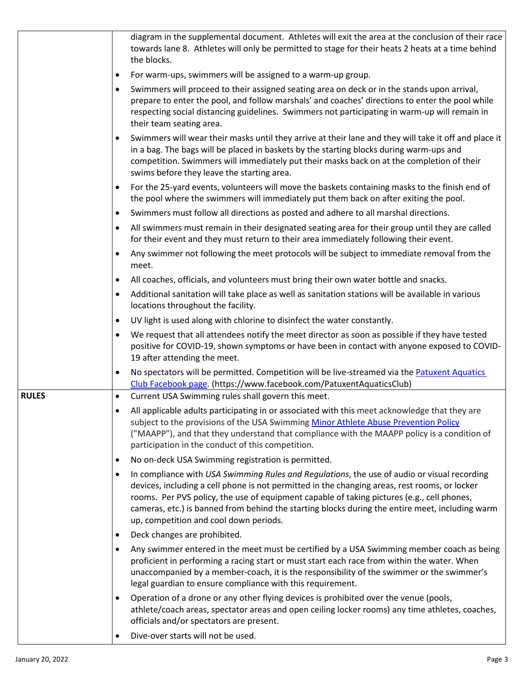|              | diagram in the supplemental document. Athletes will exit the area at the conclusion of their race<br>towards lane 8. Athletes will only be permitted to stage for their heats 2 heats at a time behind<br>the blocks.                                                                                                                                                                                                                        |  |
|--------------|----------------------------------------------------------------------------------------------------------------------------------------------------------------------------------------------------------------------------------------------------------------------------------------------------------------------------------------------------------------------------------------------------------------------------------------------|--|
|              | For warm-ups, swimmers will be assigned to a warm-up group.<br>$\bullet$                                                                                                                                                                                                                                                                                                                                                                     |  |
|              | Swimmers will proceed to their assigned seating area on deck or in the stands upon arrival,<br>$\bullet$<br>prepare to enter the pool, and follow marshals' and coaches' directions to enter the pool while<br>respecting social distancing guidelines. Swimmers not participating in warm-up will remain in<br>their team seating area.                                                                                                     |  |
|              | Swimmers will wear their masks until they arrive at their lane and they will take it off and place it<br>in a bag. The bags will be placed in baskets by the starting blocks during warm-ups and<br>competition. Swimmers will immediately put their masks back on at the completion of their<br>swims before they leave the starting area.                                                                                                  |  |
|              | For the 25-yard events, volunteers will move the baskets containing masks to the finish end of<br>٠<br>the pool where the swimmers will immediately put them back on after exiting the pool.                                                                                                                                                                                                                                                 |  |
|              | Swimmers must follow all directions as posted and adhere to all marshal directions.<br>$\bullet$                                                                                                                                                                                                                                                                                                                                             |  |
|              | All swimmers must remain in their designated seating area for their group until they are called<br>for their event and they must return to their area immediately following their event.                                                                                                                                                                                                                                                     |  |
|              | Any swimmer not following the meet protocols will be subject to immediate removal from the<br>٠<br>meet.                                                                                                                                                                                                                                                                                                                                     |  |
|              | All coaches, officials, and volunteers must bring their own water bottle and snacks.<br>٠                                                                                                                                                                                                                                                                                                                                                    |  |
|              | Additional sanitation will take place as well as sanitation stations will be available in various<br>$\bullet$<br>locations throughout the facility.                                                                                                                                                                                                                                                                                         |  |
|              | UV light is used along with chlorine to disinfect the water constantly.<br>$\bullet$                                                                                                                                                                                                                                                                                                                                                         |  |
|              | We request that all attendees notify the meet director as soon as possible if they have tested<br>$\bullet$<br>positive for COVID-19, shown symptoms or have been in contact with anyone exposed to COVID-<br>19 after attending the meet.                                                                                                                                                                                                   |  |
|              | No spectators will be permitted. Competition will be live-streamed via the Patuxent Aquatics<br>$\bullet$<br>Club Facebook page. (https://www.facebook.com/PatuxentAquaticsClub)                                                                                                                                                                                                                                                             |  |
| <b>RULES</b> | Current USA Swimming rules shall govern this meet.<br>$\bullet$                                                                                                                                                                                                                                                                                                                                                                              |  |
|              | All applicable adults participating in or associated with this meet acknowledge that they are<br>subject to the provisions of the USA Swimming Minor Athlete Abuse Prevention Policy<br>("MAAPP"), and that they understand that compliance with the MAAPP policy is a condition of<br>participation in the conduct of this competition.                                                                                                     |  |
|              | No on-deck USA Swimming registration is permitted.<br>$\bullet$                                                                                                                                                                                                                                                                                                                                                                              |  |
|              | In compliance with USA Swimming Rules and Regulations, the use of audio or visual recording<br>٠<br>devices, including a cell phone is not permitted in the changing areas, rest rooms, or locker<br>rooms. Per PVS policy, the use of equipment capable of taking pictures (e.g., cell phones,<br>cameras, etc.) is banned from behind the starting blocks during the entire meet, including warm<br>up, competition and cool down periods. |  |
|              | Deck changes are prohibited.<br>$\bullet$                                                                                                                                                                                                                                                                                                                                                                                                    |  |
|              | Any swimmer entered in the meet must be certified by a USA Swimming member coach as being<br>٠<br>proficient in performing a racing start or must start each race from within the water. When<br>unaccompanied by a member-coach, it is the responsibility of the swimmer or the swimmer's<br>legal guardian to ensure compliance with this requirement.                                                                                     |  |
|              | Operation of a drone or any other flying devices is prohibited over the venue (pools,<br>$\bullet$<br>athlete/coach areas, spectator areas and open ceiling locker rooms) any time athletes, coaches,<br>officials and/or spectators are present.                                                                                                                                                                                            |  |
|              |                                                                                                                                                                                                                                                                                                                                                                                                                                              |  |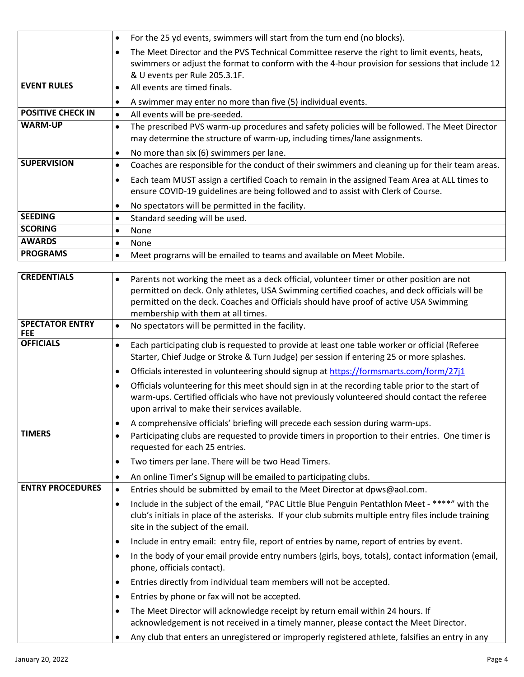|                                | For the 25 yd events, swimmers will start from the turn end (no blocks).<br>$\bullet$                                                                                                   |  |  |
|--------------------------------|-----------------------------------------------------------------------------------------------------------------------------------------------------------------------------------------|--|--|
|                                | The Meet Director and the PVS Technical Committee reserve the right to limit events, heats,                                                                                             |  |  |
|                                | swimmers or adjust the format to conform with the 4-hour provision for sessions that include 12                                                                                         |  |  |
|                                | & U events per Rule 205.3.1F.                                                                                                                                                           |  |  |
| <b>EVENT RULES</b>             | All events are timed finals.<br>$\bullet$                                                                                                                                               |  |  |
|                                | A swimmer may enter no more than five (5) individual events.<br>$\bullet$                                                                                                               |  |  |
| <b>POSITIVE CHECK IN</b>       | All events will be pre-seeded.<br>$\bullet$                                                                                                                                             |  |  |
| <b>WARM-UP</b>                 | The prescribed PVS warm-up procedures and safety policies will be followed. The Meet Director<br>$\bullet$<br>may determine the structure of warm-up, including times/lane assignments. |  |  |
|                                | No more than six (6) swimmers per lane.<br>$\bullet$                                                                                                                                    |  |  |
| <b>SUPERVISION</b>             | Coaches are responsible for the conduct of their swimmers and cleaning up for their team areas.<br>$\bullet$                                                                            |  |  |
|                                | Each team MUST assign a certified Coach to remain in the assigned Team Area at ALL times to<br>$\bullet$                                                                                |  |  |
|                                | ensure COVID-19 guidelines are being followed and to assist with Clerk of Course.                                                                                                       |  |  |
|                                | No spectators will be permitted in the facility.<br>$\bullet$                                                                                                                           |  |  |
| <b>SEEDING</b>                 | Standard seeding will be used.<br>$\bullet$                                                                                                                                             |  |  |
| <b>SCORING</b>                 | None<br>$\bullet$                                                                                                                                                                       |  |  |
| <b>AWARDS</b>                  | None<br>$\bullet$                                                                                                                                                                       |  |  |
| <b>PROGRAMS</b>                | Meet programs will be emailed to teams and available on Meet Mobile.<br>$\bullet$                                                                                                       |  |  |
| <b>CREDENTIALS</b>             |                                                                                                                                                                                         |  |  |
|                                | Parents not working the meet as a deck official, volunteer timer or other position are not<br>$\bullet$                                                                                 |  |  |
|                                | permitted on deck. Only athletes, USA Swimming certified coaches, and deck officials will be<br>permitted on the deck. Coaches and Officials should have proof of active USA Swimming   |  |  |
|                                | membership with them at all times.                                                                                                                                                      |  |  |
| <b>SPECTATOR ENTRY</b>         | No spectators will be permitted in the facility.<br>$\bullet$                                                                                                                           |  |  |
| <b>FEE</b><br><b>OFFICIALS</b> | Each participating club is requested to provide at least one table worker or official (Referee<br>$\bullet$                                                                             |  |  |
|                                | Starter, Chief Judge or Stroke & Turn Judge) per session if entering 25 or more splashes.                                                                                               |  |  |
|                                | Officials interested in volunteering should signup at https://formsmarts.com/form/27j1<br>$\bullet$                                                                                     |  |  |
|                                | Officials volunteering for this meet should sign in at the recording table prior to the start of<br>$\bullet$                                                                           |  |  |
|                                | warm-ups. Certified officials who have not previously volunteered should contact the referee                                                                                            |  |  |
|                                | upon arrival to make their services available.                                                                                                                                          |  |  |
|                                | A comprehensive officials' briefing will precede each session during warm-ups.<br>$\bullet$                                                                                             |  |  |
| <b>TIMERS</b>                  | Participating clubs are requested to provide timers in proportion to their entries. One timer is<br>$\bullet$<br>requested for each 25 entries.                                         |  |  |
|                                | Two timers per lane. There will be two Head Timers.<br>$\bullet$                                                                                                                        |  |  |
|                                | An online Timer's Signup will be emailed to participating clubs.<br>$\bullet$                                                                                                           |  |  |
| <b>ENTRY PROCEDURES</b>        | Entries should be submitted by email to the Meet Director at dpws@aol.com.<br>$\bullet$                                                                                                 |  |  |
|                                | Include in the subject of the email, "PAC Little Blue Penguin Pentathlon Meet - ****" with the<br>$\bullet$                                                                             |  |  |
|                                | club's initials in place of the asterisks. If your club submits multiple entry files include training<br>site in the subject of the email.                                              |  |  |
|                                | Include in entry email: entry file, report of entries by name, report of entries by event.<br>$\bullet$                                                                                 |  |  |
|                                |                                                                                                                                                                                         |  |  |
|                                | In the body of your email provide entry numbers (girls, boys, totals), contact information (email,<br>$\bullet$<br>phone, officials contact).                                           |  |  |
|                                | Entries directly from individual team members will not be accepted.                                                                                                                     |  |  |
|                                | Entries by phone or fax will not be accepted.                                                                                                                                           |  |  |
|                                | The Meet Director will acknowledge receipt by return email within 24 hours. If<br>$\bullet$<br>acknowledgement is not received in a timely manner, please contact the Meet Director.    |  |  |
|                                |                                                                                                                                                                                         |  |  |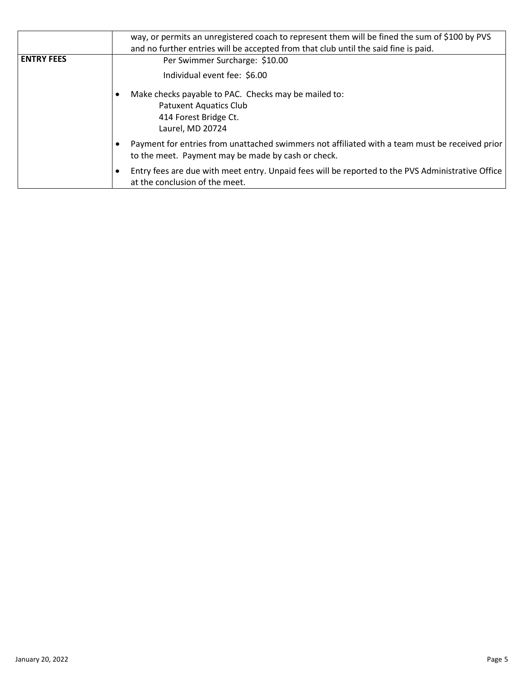|                   | way, or permits an unregistered coach to represent them will be fined the sum of \$100 by PVS<br>and no further entries will be accepted from that club until the said fine is paid. |  |
|-------------------|--------------------------------------------------------------------------------------------------------------------------------------------------------------------------------------|--|
| <b>ENTRY FEES</b> | Per Swimmer Surcharge: \$10.00                                                                                                                                                       |  |
|                   | Individual event fee: \$6.00                                                                                                                                                         |  |
|                   | Make checks payable to PAC. Checks may be mailed to:                                                                                                                                 |  |
|                   | <b>Patuxent Aquatics Club</b><br>414 Forest Bridge Ct.<br>Laurel, MD 20724                                                                                                           |  |
|                   | Payment for entries from unattached swimmers not affiliated with a team must be received prior<br>to the meet. Payment may be made by cash or check.                                 |  |
|                   | Entry fees are due with meet entry. Unpaid fees will be reported to the PVS Administrative Office<br>at the conclusion of the meet.                                                  |  |